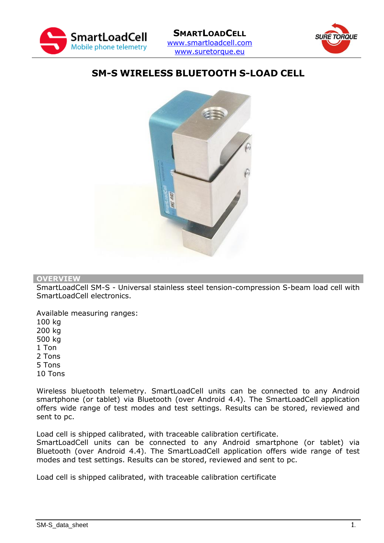



# **SM-S WIRELESS BLUETOOTH S-LOAD CELL**



### **OVERVIEW**

SmartLoadCell SM-S - Universal stainless steel tension-compression S-beam load cell with SmartLoadCell electronics.

Available measuring ranges: 100 kg 200 kg 500 kg 1 Ton 2 Tons 5 Tons 10 Tons

Wireless bluetooth telemetry. SmartLoadCell units can be connected to any Android smartphone (or tablet) via Bluetooth (over Android 4.4). The SmartLoadCell application offers wide range of test modes and test settings. Results can be stored, reviewed and sent to pc.

Load cell is shipped calibrated, with traceable calibration certificate.

SmartLoadCell units can be connected to any Android smartphone (or tablet) via Bluetooth (over Android 4.4). The SmartLoadCell application offers wide range of test modes and test settings. Results can be stored, reviewed and sent to pc.

Load cell is shipped calibrated, with traceable calibration certificate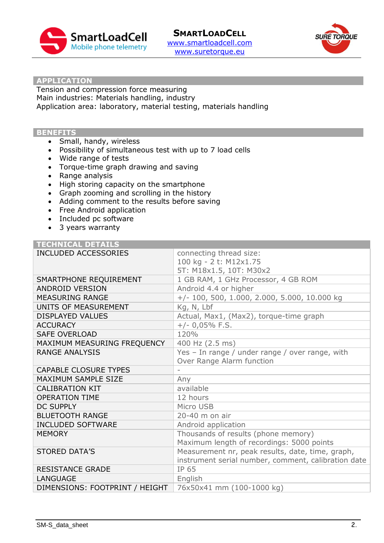



#### **APPLICATION**

Tension and compression force measuring Main industries: Materials handling, industry Application area: laboratory, material testing, materials handling

### **BENEFITS**

- Small, handy, wireless
- Possibility of simultaneous test with up to 7 load cells
- Wide range of tests
- Torque-time graph drawing and saving
- Range analysis
- High storing capacity on the smartphone
- Graph zooming and scrolling in the history
- Adding comment to the results before saving
- Free Android application
- Included pc software
- 3 years warranty

| <b>TECHNICAL DETAILS</b>       |                                                     |
|--------------------------------|-----------------------------------------------------|
| INCLUDED ACCESSORIES           | connecting thread size:                             |
|                                | 100 kg - 2 t: M12x1.75                              |
|                                | 5T: M18x1.5, 10T: M30x2                             |
| SMARTPHONE REQUIREMENT         | 1 GB RAM, 1 GHz Processor, 4 GB ROM                 |
| <b>ANDROID VERSION</b>         | Android 4.4 or higher                               |
| <b>MEASURING RANGE</b>         | $+/- 100, 500, 1.000, 2.000, 5.000, 10.000 kg$      |
| UNITS OF MEASUREMENT           | Kg, N, Lbf                                          |
| <b>DISPLAYED VALUES</b>        | Actual, Max1, (Max2), torque-time graph             |
| <b>ACCURACY</b>                | $+/- 0,05\%$ F.S.                                   |
| <b>SAFE OVERLOAD</b>           | 120%                                                |
| MAXIMUM MEASURING FREQUENCY    | 400 Hz (2.5 ms)                                     |
| <b>RANGE ANALYSIS</b>          | Yes - In range / under range / over range, with     |
|                                | Over Range Alarm function                           |
| <b>CAPABLE CLOSURE TYPES</b>   |                                                     |
| <b>MAXIMUM SAMPLE SIZE</b>     | Any                                                 |
| <b>CALIBRATION KIT</b>         | available                                           |
| <b>OPERATION TIME</b>          | 12 hours                                            |
| <b>DC SUPPLY</b>               | Micro USB                                           |
| <b>BLUETOOTH RANGE</b>         | 20-40 m on air                                      |
| <b>INCLUDED SOFTWARE</b>       | Android application                                 |
| <b>MEMORY</b>                  | Thousands of results (phone memory)                 |
|                                | Maximum length of recordings: 5000 points           |
| <b>STORED DATA'S</b>           | Measurement nr, peak results, date, time, graph,    |
|                                | instrument serial number, comment, calibration date |
| <b>RESISTANCE GRADE</b>        | IP 65                                               |
| <b>LANGUAGE</b>                | English                                             |
| DIMENSIONS: FOOTPRINT / HEIGHT | 76x50x41 mm (100-1000 kg)                           |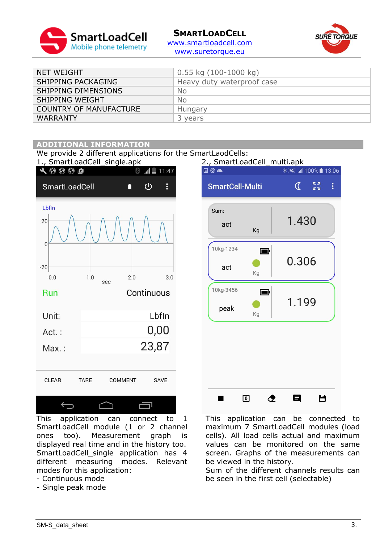

## **SMARTLOADCELL**



[www.smartloadcell.com](http://www.smartloadcell.com/) [www.suretorque.eu](http://www.suretorque.eu/)

| NET WEIGHT                    | $0.55$ kg $(100-1000$ kg)  |
|-------------------------------|----------------------------|
| SHIPPING PACKAGING            | Heavy duty waterproof case |
| SHIPPING DIMENSIONS           | No.                        |
| SHIPPING WEIGHT               | <b>No</b>                  |
| <b>COUNTRY OF MANUFACTURE</b> | Hungary                    |
| <b>WARRANTY</b>               | 3 years                    |
|                               |                            |

### **ADDITIONAL INFORMATION**

We provide 2 different applications for the SmartLaodCells:



This application can connect to 1 SmartLoadCell module (1 or 2 channel ones too). Measurement graph is displayed real time and in the history too. SmartLoadCell\_single application has 4 different measuring modes. Relevant modes for this application:

- Continuous mode
- Single peak mode



This application can be connected to maximum 7 SmartLoadCell modules (load cells). All load cells actual and maximum values can be monitored on the same screen. Graphs of the measurements can be viewed in the history.

Sum of the different channels results can be seen in the first cell (selectable)

SM-S data sheet 3.